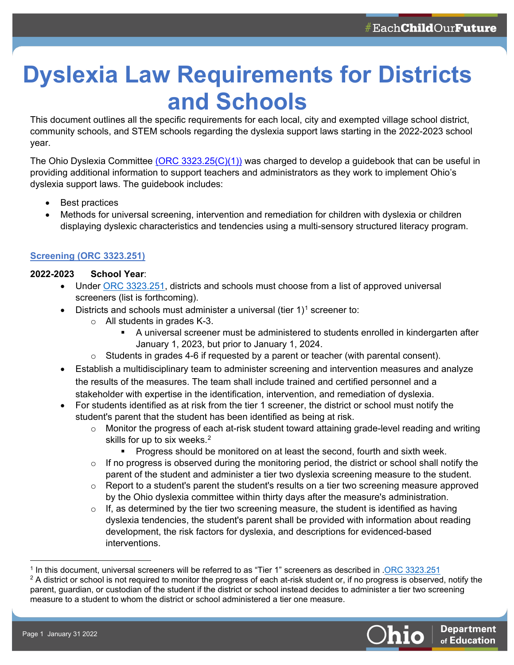# **Dyslexia Law Requirements for Districts and Schools**

This document outlines all the specific requirements for each local, city and exempted village school district, community schools, and STEM schools regarding the dyslexia support laws starting in the 2022-2023 school year.

The Ohio Dyslexia Committee [\(ORC 3323.25\(C\)\(1\)\)](https://codes.ohio.gov/ohio-revised-code/section-3323.25) was charged to develop a guidebook that can be useful in providing additional information to support teachers and administrators as they work to implement Ohio's dyslexia support laws. The guidebook includes:

- Best practices
- Methods for universal screening, intervention and remediation for children with dyslexia or children displaying dyslexic characteristics and tendencies using a multi-sensory structured literacy program.

## **[Screening \(ORC 3323.251\)](https://codes.ohio.gov/ohio-revised-code/section-3323.251)**

## **2022-2023 School Year**:

- Under [ORC 3323.251,](https://codes.ohio.gov/ohio-revised-code/section-3323.251) districts and schools must choose from a list of approved universal screeners (list is forthcoming).
- Districts and schools must administer a universal (tier  $1$ )<sup>1</sup> screener to:
	- o All students in grades K-3.
		- A universal screener must be administered to students enrolled in kindergarten after January 1, 2023, but prior to January 1, 2024.
	- $\circ$  Students in grades 4-6 if requested by a parent or teacher (with parental consent).
- Establish a multidisciplinary team to administer screening and intervention measures and analyze the results of the measures. The team shall include trained and certified personnel and a stakeholder with expertise in the identification, intervention, and remediation of dyslexia.
- For students identified as at risk from the tier 1 screener, the district or school must notify the student's parent that the student has been identified as being at risk.
	- $\circ$  Monitor the progress of each at-risk student toward attaining grade-level reading and writing skills for up to six weeks.<sup>[2](#page-0-1)</sup>
		- Progress should be monitored on at least the second, fourth and sixth week.
	- $\circ$  If no progress is observed during the monitoring period, the district or school shall notify the parent of the student and administer a tier two dyslexia screening measure to the student.
	- $\circ$  Report to a student's parent the student's results on a tier two screening measure approved by the Ohio dyslexia committee within thirty days after the measure's administration.
	- $\circ$  If, as determined by the tier two screening measure, the student is identified as having dyslexia tendencies, the student's parent shall be provided with information about reading development, the risk factors for dyslexia, and descriptions for evidenced-based interventions.

<span id="page-0-1"></span><span id="page-0-0"></span><sup>1</sup> In this document, universal screeners will be referred to as "Tier 1" screeners as described in [.ORC 3323.251](https://codes.ohio.gov/ohio-revised-code/section-3323.251)  $2$  A district or school is not required to monitor the progress of each at-risk student or, if no progress is observed, notify the parent, guardian, or custodian of the student if the district or school instead decides to administer a tier two screening measure to a student to whom the district or school administered a tier one measure.

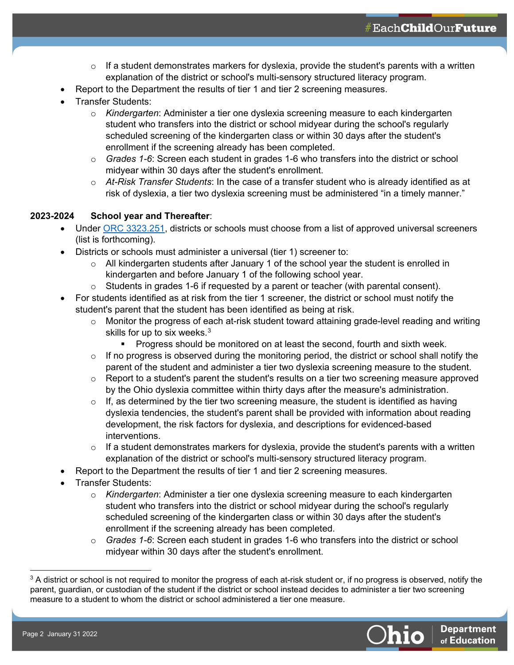- $\circ$  If a student demonstrates markers for dyslexia, provide the student's parents with a written explanation of the district or school's multi-sensory structured literacy program.
- Report to the Department the results of tier 1 and tier 2 screening measures.
- Transfer Students:
	- o *Kindergarten*: Administer a tier one dyslexia screening measure to each kindergarten student who transfers into the district or school midyear during the school's regularly scheduled screening of the kindergarten class or within 30 days after the student's enrollment if the screening already has been completed.
	- o *Grades 1-6*: Screen each student in grades 1-6 who transfers into the district or school midyear within 30 days after the student's enrollment.
	- o *At-Risk Transfer Students*: In the case of a transfer student who is already identified as at risk of dyslexia, a tier two dyslexia screening must be administered "in a timely manner."

#### **2023-2024 School year and Thereafter**:

- Under [ORC 3323.251,](https://codes.ohio.gov/ohio-revised-code/section-3323.251) districts or schools must choose from a list of approved universal screeners (list is forthcoming).
- Districts or schools must administer a universal (tier 1) screener to:
	- $\circ$  All kindergarten students after January 1 of the school year the student is enrolled in kindergarten and before January 1 of the following school year.
	- $\circ$  Students in grades 1-6 if requested by a parent or teacher (with parental consent).
- For students identified as at risk from the tier 1 screener, the district or school must notify the student's parent that the student has been identified as being at risk.
	- $\circ$  Monitor the progress of each at-risk student toward attaining grade-level reading and writing skills for up to six weeks.<sup>[3](#page-1-0)</sup>
		- Progress should be monitored on at least the second, fourth and sixth week.
	- $\circ$  If no progress is observed during the monitoring period, the district or school shall notify the parent of the student and administer a tier two dyslexia screening measure to the student.
	- $\circ$  Report to a student's parent the student's results on a tier two screening measure approved by the Ohio dyslexia committee within thirty days after the measure's administration.
	- $\circ$  If, as determined by the tier two screening measure, the student is identified as having dyslexia tendencies, the student's parent shall be provided with information about reading development, the risk factors for dyslexia, and descriptions for evidenced-based interventions.
	- $\circ$  If a student demonstrates markers for dyslexia, provide the student's parents with a written explanation of the district or school's multi-sensory structured literacy program.
- Report to the Department the results of tier 1 and tier 2 screening measures.
- Transfer Students:
	- o *Kindergarten*: Administer a tier one dyslexia screening measure to each kindergarten student who transfers into the district or school midyear during the school's regularly scheduled screening of the kindergarten class or within 30 days after the student's enrollment if the screening already has been completed.
	- Grades 1-6: Screen each student in grades 1-6 who transfers into the district or school midyear within 30 days after the student's enrollment.

<span id="page-1-0"></span> $3$  A district or school is not required to monitor the progress of each at-risk student or, if no progress is observed, notify the parent, guardian, or custodian of the student if the district or school instead decides to administer a tier two screening measure to a student to whom the district or school administered a tier one measure.